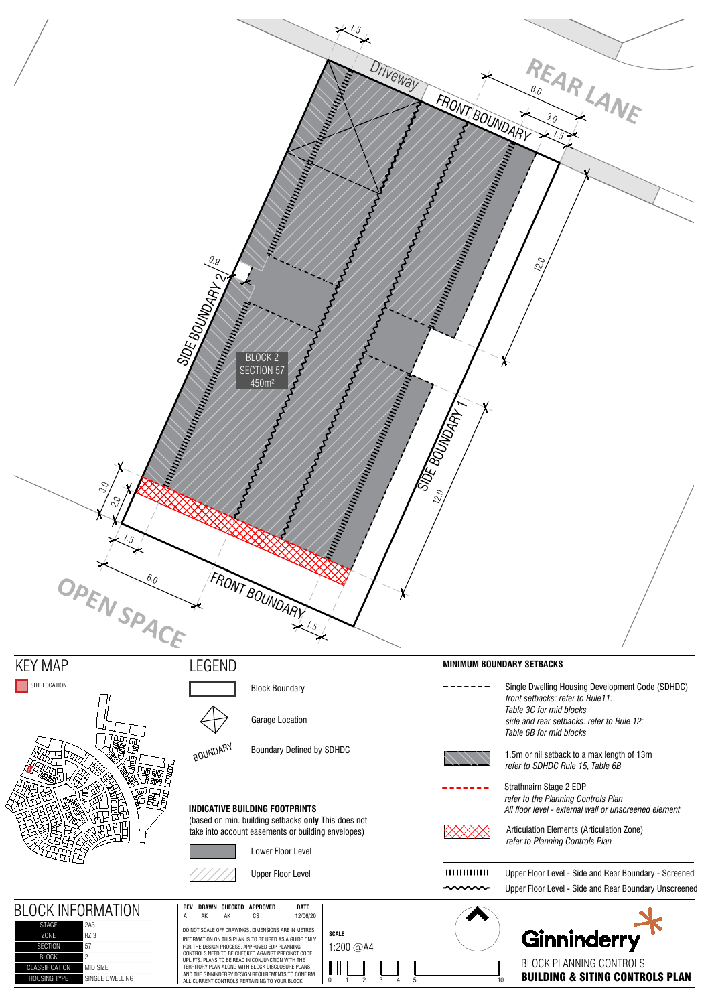